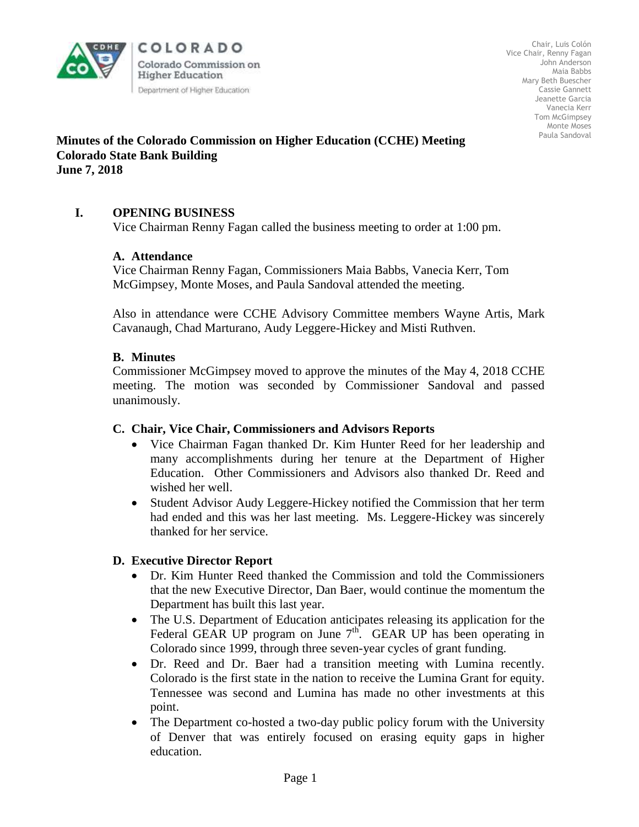

COLORADO Colorado Commission on **Higher Education** Department of Higher Education

Chair, Luis Colón Vice Chair, Renny Fagan John Anderson Maia Babbs Mary Beth Buescher Cassie Gannett Jeanette Garcia Vanecia Kerr Tom McGimpsey Monte Moses Paula Sandoval

## **Minutes of the Colorado Commission on Higher Education (CCHE) Meeting Colorado State Bank Building June 7, 2018**

# **I. OPENING BUSINESS**

Vice Chairman Renny Fagan called the business meeting to order at 1:00 pm.

### **A. Attendance**

Vice Chairman Renny Fagan, Commissioners Maia Babbs, Vanecia Kerr, Tom McGimpsey, Monte Moses, and Paula Sandoval attended the meeting.

Also in attendance were CCHE Advisory Committee members Wayne Artis, Mark Cavanaugh, Chad Marturano, Audy Leggere-Hickey and Misti Ruthven.

### **B. Minutes**

Commissioner McGimpsey moved to approve the minutes of the May 4, 2018 CCHE meeting. The motion was seconded by Commissioner Sandoval and passed unanimously.

### **C. Chair, Vice Chair, Commissioners and Advisors Reports**

- Vice Chairman Fagan thanked Dr. Kim Hunter Reed for her leadership and many accomplishments during her tenure at the Department of Higher Education. Other Commissioners and Advisors also thanked Dr. Reed and wished her well.
- Student Advisor Audy Leggere-Hickey notified the Commission that her term had ended and this was her last meeting. Ms. Leggere-Hickey was sincerely thanked for her service.

## **D. Executive Director Report**

- Dr. Kim Hunter Reed thanked the Commission and told the Commissioners that the new Executive Director, Dan Baer, would continue the momentum the Department has built this last year.
- The U.S. Department of Education anticipates releasing its application for the Federal GEAR UP program on June  $7<sup>th</sup>$ . GEAR UP has been operating in Colorado since 1999, through three seven-year cycles of grant funding.
- Dr. Reed and Dr. Baer had a transition meeting with Lumina recently. Colorado is the first state in the nation to receive the Lumina Grant for equity. Tennessee was second and Lumina has made no other investments at this point.
- The Department co-hosted a two-day public policy forum with the University of Denver that was entirely focused on erasing equity gaps in higher education.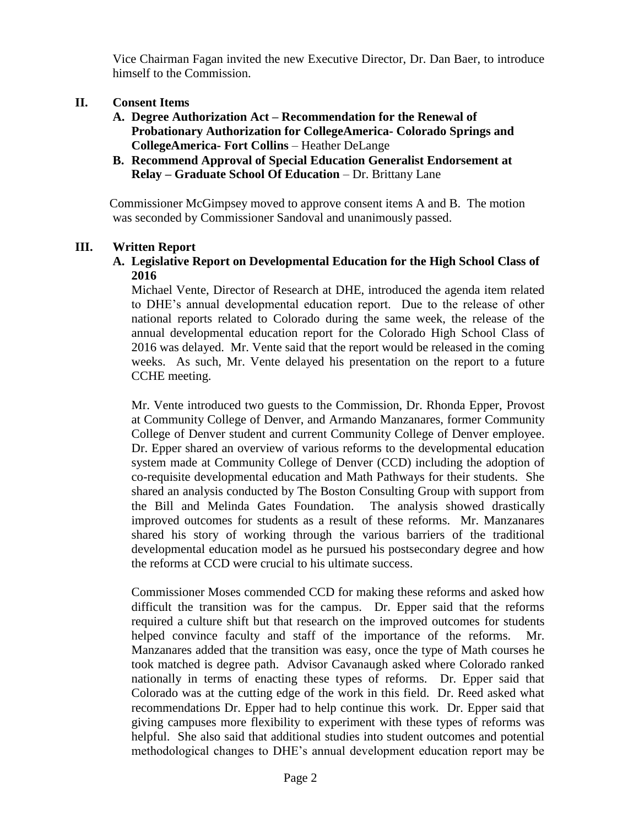Vice Chairman Fagan invited the new Executive Director, Dr. Dan Baer, to introduce himself to the Commission.

## **II. Consent Items**

- **A. Degree Authorization Act – Recommendation for the Renewal of Probationary Authorization for CollegeAmerica- Colorado Springs and CollegeAmerica- Fort Collins** – Heather DeLange
- **B. Recommend Approval of Special Education Generalist Endorsement at Relay – Graduate School Of Education** – Dr. Brittany Lane

 Commissioner McGimpsey moved to approve consent items A and B. The motion was seconded by Commissioner Sandoval and unanimously passed.

### **III. Written Report**

### **A. Legislative Report on Developmental Education for the High School Class of 2016**

Michael Vente, Director of Research at DHE, introduced the agenda item related to DHE's annual developmental education report. Due to the release of other national reports related to Colorado during the same week, the release of the annual developmental education report for the Colorado High School Class of 2016 was delayed. Mr. Vente said that the report would be released in the coming weeks. As such, Mr. Vente delayed his presentation on the report to a future CCHE meeting.

Mr. Vente introduced two guests to the Commission, Dr. Rhonda Epper, Provost at Community College of Denver, and Armando Manzanares, former Community College of Denver student and current Community College of Denver employee. Dr. Epper shared an overview of various reforms to the developmental education system made at Community College of Denver (CCD) including the adoption of co-requisite developmental education and Math Pathways for their students. She shared an analysis conducted by The Boston Consulting Group with support from the Bill and Melinda Gates Foundation. The analysis showed drastically improved outcomes for students as a result of these reforms. Mr. Manzanares shared his story of working through the various barriers of the traditional developmental education model as he pursued his postsecondary degree and how the reforms at CCD were crucial to his ultimate success.

Commissioner Moses commended CCD for making these reforms and asked how difficult the transition was for the campus. Dr. Epper said that the reforms required a culture shift but that research on the improved outcomes for students helped convince faculty and staff of the importance of the reforms. Mr. Manzanares added that the transition was easy, once the type of Math courses he took matched is degree path. Advisor Cavanaugh asked where Colorado ranked nationally in terms of enacting these types of reforms. Dr. Epper said that Colorado was at the cutting edge of the work in this field. Dr. Reed asked what recommendations Dr. Epper had to help continue this work. Dr. Epper said that giving campuses more flexibility to experiment with these types of reforms was helpful. She also said that additional studies into student outcomes and potential methodological changes to DHE's annual development education report may be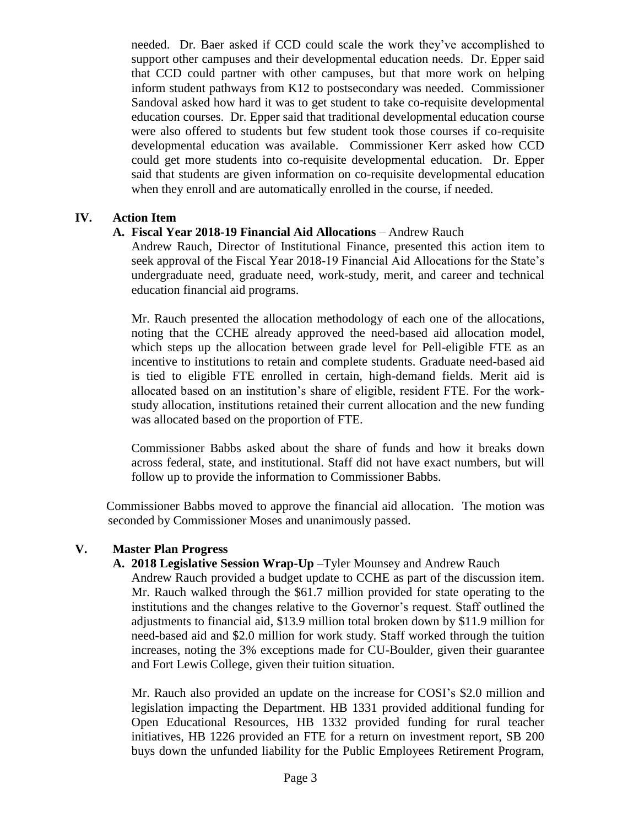needed. Dr. Baer asked if CCD could scale the work they've accomplished to support other campuses and their developmental education needs. Dr. Epper said that CCD could partner with other campuses, but that more work on helping inform student pathways from K12 to postsecondary was needed. Commissioner Sandoval asked how hard it was to get student to take co-requisite developmental education courses. Dr. Epper said that traditional developmental education course were also offered to students but few student took those courses if co-requisite developmental education was available. Commissioner Kerr asked how CCD could get more students into co-requisite developmental education. Dr. Epper said that students are given information on co-requisite developmental education when they enroll and are automatically enrolled in the course, if needed.

### **IV. Action Item**

### **A. Fiscal Year 2018-19 Financial Aid Allocations** – Andrew Rauch

Andrew Rauch, Director of Institutional Finance, presented this action item to seek approval of the Fiscal Year 2018-19 Financial Aid Allocations for the State's undergraduate need, graduate need, work-study, merit, and career and technical education financial aid programs.

Mr. Rauch presented the allocation methodology of each one of the allocations, noting that the CCHE already approved the need-based aid allocation model, which steps up the allocation between grade level for Pell-eligible FTE as an incentive to institutions to retain and complete students. Graduate need-based aid is tied to eligible FTE enrolled in certain, high-demand fields. Merit aid is allocated based on an institution's share of eligible, resident FTE. For the workstudy allocation, institutions retained their current allocation and the new funding was allocated based on the proportion of FTE.

Commissioner Babbs asked about the share of funds and how it breaks down across federal, state, and institutional. Staff did not have exact numbers, but will follow up to provide the information to Commissioner Babbs.

 Commissioner Babbs moved to approve the financial aid allocation. The motion was seconded by Commissioner Moses and unanimously passed.

### **V. Master Plan Progress**

### **A. 2018 Legislative Session Wrap-Up** –Tyler Mounsey and Andrew Rauch

Andrew Rauch provided a budget update to CCHE as part of the discussion item. Mr. Rauch walked through the \$61.7 million provided for state operating to the institutions and the changes relative to the Governor's request. Staff outlined the adjustments to financial aid, \$13.9 million total broken down by \$11.9 million for need-based aid and \$2.0 million for work study. Staff worked through the tuition increases, noting the 3% exceptions made for CU-Boulder, given their guarantee and Fort Lewis College, given their tuition situation.

Mr. Rauch also provided an update on the increase for COSI's \$2.0 million and legislation impacting the Department. HB 1331 provided additional funding for Open Educational Resources, HB 1332 provided funding for rural teacher initiatives, HB 1226 provided an FTE for a return on investment report, SB 200 buys down the unfunded liability for the Public Employees Retirement Program,